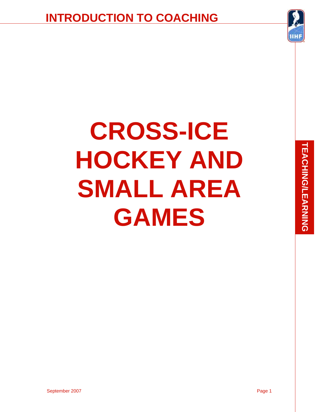

# **CROSS-ICE HOCKEY AND SMALL AREA GAMES**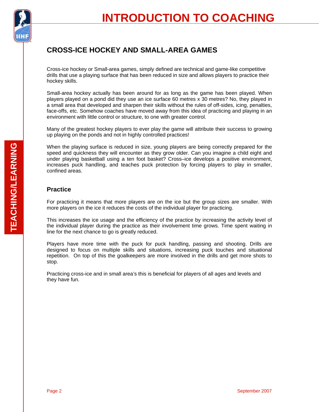

### **CROSS-ICE HOCKEY AND SMALL-AREA GAMES**

Cross-ice hockey or Small-area games, simply defined are technical and game-like competitive drills that use a playing surface that has been reduced in size and allows players to practice their hockey skills.

Small-area hockey actually has been around for as long as the game has been played. When players played on a pond did they use an ice surface 60 metres x 30 metres? No, they played in a small area that developed and sharpen their skills without the rules of off-sides, icing, penalties, face-offs, etc. Somehow coaches have moved away from this idea of practicing and playing in an environment with little control or structure, to one with greater control.

Many of the greatest hockey players to ever play the game will attribute their success to growing up playing on the ponds and not in highly controlled practices!

When the playing surface is reduced in size, young players are being correctly prepared for the speed and quickness they will encounter as they grow older. Can you imagine a child eight and under playing basketball using a ten foot basket? Cross–ice develops a positive environment, increases puck handling, and teaches puck protection by forcing players to play in smaller, confined areas.

### **Practice**

For practicing it means that more players are on the ice but the group sizes are smaller. With more players on the ice it reduces the costs of the individual player for practicing.

This increases the ice usage and the efficiency of the practice by increasing the activity level of the individual player during the practice as their involvement time grows. Time spent waiting in line for the next chance to go is greatly reduced.

Players have more time with the puck for puck handling, passing and shooting. Drills are designed to focus on multiple skills and situations, increasing puck touches and situational repetition. On top of this the goalkeepers are more involved in the drills and get more shots to stop.

Practicing cross-ice and in small area's this is beneficial for players of all ages and levels and they have fun.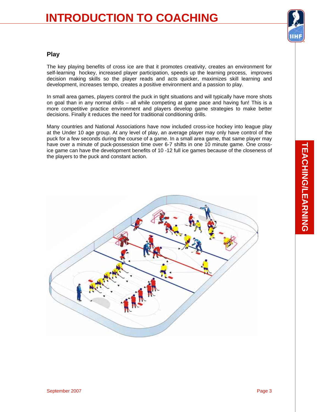### **INTRODUCTION TO COACHING**



### **Play**

The key playing benefits of cross ice are that it promotes creativity, creates an environment for self-learning hockey, increased player participation, speeds up the learning process, improves decision making skills so the player reads and acts quicker, maximizes skill learning and development, increases tempo, creates a positive environment and a passion to play.

In small area games, players control the puck in tight situations and will typically have more shots on goal than in any normal drills – all while competing at game pace and having fun! This is a more competitive practice environment and players develop game strategies to make better decisions. Finally it reduces the need for traditional conditioning drills.

Many countries and National Associations have now included cross-ice hockey into league play at the Under 10 age group. At any level of play, an average player may only have control of the puck for a few seconds during the course of a game. In a small area game, that same player may have over a minute of puck-possession time over 6-7 shifts in one 10 minute game. One crossice game can have the development benefits of 10 -12 full ice games because of the closeness of the players to the puck and constant action.

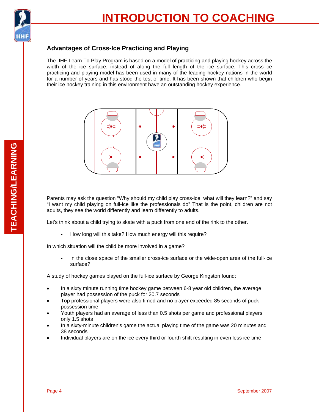

### **Advantages of Cross-Ice Practicing and Playing**

The IIHF Learn To Play Program is based on a model of practicing and playing hockey across the width of the ice surface, instead of along the full length of the ice surface. This cross-ice practicing and playing model has been used in many of the leading hockey nations in the world for a number of years and has stood the test of time. It has been shown that children who begin their ice hockey training in this environment have an outstanding hockey experience.



Parents may ask the question "Why should my child play cross-ice, what will they learn?" and say "I want my child playing on full-ice like the professionals do" That is the point, children are not adults, they see the world differently and learn differently to adults.

Let's think about a child trying to skate with a puck from one end of the rink to the other.

- How long will this take? How much energy will this require?

In which situation will the child be more involved in a game?

 In the close space of the smaller cross-ice surface or the wide-open area of the full-ice surface?

A study of hockey games played on the full-ice surface by George Kingston found:

- In a sixty minute running time hockey game between 6-8 year old children, the average player had possession of the puck for 20.7 seconds
- Top professional players were also timed and no player exceeded 85 seconds of puck possession time
- Youth players had an average of less than 0.5 shots per game and professional players only 1.5 shots
- In a sixty-minute children's game the actual playing time of the game was 20 minutes and 38 seconds
- Individual players are on the ice every third or fourth shift resulting in even less ice time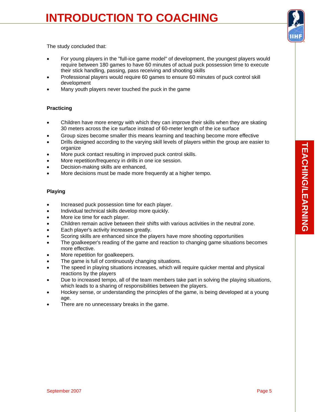## **INTRODUCTION TO COACHING**



The study concluded that:

- For young players in the "full-ice game model" of development, the youngest players would require between 180 games to have 60 minutes of actual puck possession time to execute their stick handling, passing, pass receiving and shooting skills
- Professional players would require 60 games to ensure 60 minutes of puck control skill development
- Many youth players never touched the puck in the game

### **Practicing**

- Children have more energy with which they can improve their skills when they are skating 30 meters across the ice surface instead of 60-meter length of the ice surface
- Group sizes become smaller this means learning and teaching become more effective
- Drills designed according to the varying skill levels of players within the group are easier to organize
- More puck contact resulting in improved puck control skills.
- More repetition/frequency in drills in one ice session.
- Decision-making skills are enhanced,
- More decisions must be made more frequently at a higher tempo.

### **Playing**

- Increased puck possession time for each player.
- Individual technical skills develop more quickly.
- More ice time for each player.
- Children remain active between their shifts with various activities in the neutral zone.
- Each player's activity increases greatly.
- Scoring skills are enhanced since the players have more shooting opportunities
- The goalkeeper's reading of the game and reaction to changing game situations becomes more effective.
- More repetition for goalkeepers.
- The game is full of continuously changing situations.
- The speed in playing situations increases, which will require quicker mental and physical reactions by the players
- Due to increased tempo, all of the team members take part in solving the playing situations, which leads to a sharing of responsibilities between the players.
- Hockey sense, or understanding the principles of the game, is being developed at a young age.
- There are no unnecessary breaks in the game.